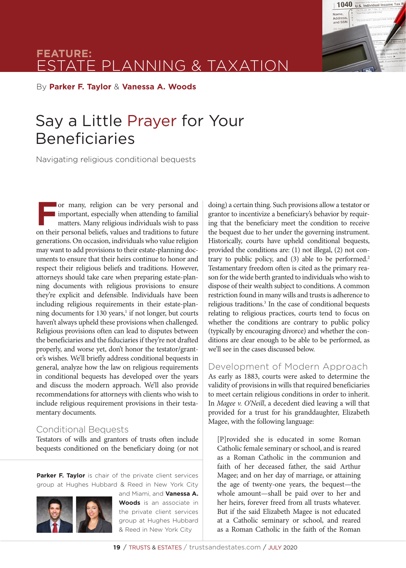

By **Parker F. Taylor** & **Vanessa A. Woods**

# Say a Little Prayer for Your Beneficiaries

Navigating religious conditional bequests

For many, religion can be very personal and<br>important, especially when attending to familial<br>matters. Many religious individuals wish to pass<br>on their personal beliefs values and traditions to future important, especially when attending to familial matters. Many religious individuals wish to pass on their personal beliefs, values and traditions to future generations. On occasion, individuals who value religion may want to add provisions to their estate-planning documents to ensure that their heirs continue to honor and respect their religious beliefs and traditions. However, attorneys should take care when preparing estate-planning documents with religious provisions to ensure they're explicit and defensible. Individuals have been including religious requirements in their estate-planning documents for 130 years,<sup>1</sup> if not longer, but courts haven't always upheld these provisions when challenged. Religious provisions often can lead to disputes between the beneficiaries and the fiduciaries if they're not drafted properly, and worse yet, don't honor the testator/grantor's wishes. We'll briefly address conditional bequests in general, analyze how the law on religious requirements in conditional bequests has developed over the years and discuss the modern approach. We'll also provide recommendations for attorneys with clients who wish to include religious requirement provisions in their testamentary documents.

### Conditional Bequests

Testators of wills and grantors of trusts often include bequests conditioned on the beneficiary doing (or not

**Parker F. Taylor** is chair of the private client services group at Hughes Hubbard & Reed in New York City



and Miami, and **Vanessa A. Woods** is an associate in the private client services group at Hughes Hubbard & Reed in New York City

doing) a certain thing. Such provisions allow a testator or grantor to incentivize a beneficiary's behavior by requiring that the beneficiary meet the condition to receive the bequest due to her under the governing instrument. Historically, courts have upheld conditional bequests, provided the conditions are: (1) not illegal, (2) not contrary to public policy, and (3) able to be performed.<sup>2</sup> Testamentary freedom often is cited as the primary reason for the wide berth granted to individuals who wish to dispose of their wealth subject to conditions. A common restriction found in many wills and trusts is adherence to religious traditions.<sup>3</sup> In the case of conditional bequests relating to religious practices, courts tend to focus on whether the conditions are contrary to public policy (typically by encouraging divorce) and whether the conditions are clear enough to be able to be performed, as we'll see in the cases discussed below.

1040 Department of the Treatury-Integral Revenue Tax

Name,<br>Addres and SSN

Development of Modern Approach As early as 1883, courts were asked to determine the validity of provisions in wills that required beneficiaries to meet certain religious conditions in order to inherit. In *Magee v. O'Neill*, a decedent died leaving a will that provided for a trust for his granddaughter, Elizabeth Magee, with the following language:

[P]rovided she is educated in some Roman Catholic female seminary or school, and is reared as a Roman Catholic in the communion and faith of her deceased father, the said Arthur Magee; and on her day of marriage, or attaining the age of twenty-one years, the bequest—the whole amount—shall be paid over to her and her heirs, forever freed from all trusts whatever. But if the said Elizabeth Magee is not educated at a Catholic seminary or school, and reared as a Roman Catholic in the faith of the Roman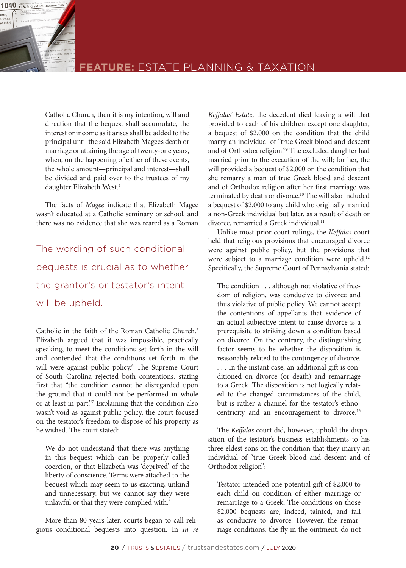

### **FEATURE:** ESTATE PLANNING & TAXATION

Catholic Church, then it is my intention, will and direction that the bequest shall accumulate, the interest or income as it arises shall be added to the principal until the said Elizabeth Magee's death or marriage or attaining the age of twenty-one years, when, on the happening of either of these events, the whole amount—principal and interest—shall be divided and paid over to the trustees of my daughter Elizabeth West.<sup>4</sup>

The facts of *Magee* indicate that Elizabeth Magee wasn't educated at a Catholic seminary or school, and there was no evidence that she was reared as a Roman

The wording of such conditional bequests is crucial as to whether the grantor's or testator's intent will be upheld.

Catholic in the faith of the Roman Catholic Church.<sup>5</sup> Elizabeth argued that it was impossible, practically speaking, to meet the conditions set forth in the will and contended that the conditions set forth in the will were against public policy.6 The Supreme Court of South Carolina rejected both contentions, stating first that "the condition cannot be disregarded upon the ground that it could not be performed in whole or at least in part."7 Explaining that the condition also wasn't void as against public policy, the court focused on the testator's freedom to dispose of his property as he wished. The court stated:

We do not understand that there was anything in this bequest which can be properly called coercion, or that Elizabeth was 'deprived' of the liberty of conscience. Terms were attached to the bequest which may seem to us exacting, unkind and unnecessary, but we cannot say they were unlawful or that they were complied with.<sup>8</sup>

More than 80 years later, courts began to call religious conditional bequests into question. In *In re* 

*Keffalas' Estate*, the decedent died leaving a will that provided to each of his children except one daughter, a bequest of \$2,000 on the condition that the child marry an individual of "true Greek blood and descent and of Orthodox religion."9 The excluded daughter had married prior to the execution of the will; for her, the will provided a bequest of \$2,000 on the condition that she remarry a man of true Greek blood and descent and of Orthodox religion after her first marriage was terminated by death or divorce.10 The will also included a bequest of \$2,000 to any child who originally married a non-Greek individual but later, as a result of death or divorce, remarried a Greek individual.<sup>11</sup>

Unlike most prior court rulings, the *Keffalas* court held that religious provisions that encouraged divorce were against public policy, but the provisions that were subject to a marriage condition were upheld.<sup>12</sup> Specifically, the Supreme Court of Pennsylvania stated:

The condition . . . although not violative of freedom of religion, was conducive to divorce and thus violative of public policy. We cannot accept the contentions of appellants that evidence of an actual subjective intent to cause divorce is a prerequisite to striking down a condition based on divorce. On the contrary, the distinguishing factor seems to be whether the disposition is reasonably related to the contingency of divorce. . . . In the instant case, an additional gift is conditioned on divorce (or death) and remarriage to a Greek. The disposition is not logically related to the changed circumstances of the child, but is rather a channel for the testator's ethnocentricity and an encouragement to divorce.<sup>13</sup>

The *Keffalas* court did, however, uphold the disposition of the testator's business establishments to his three eldest sons on the condition that they marry an individual of "true Greek blood and descent and of Orthodox religion":

Testator intended one potential gift of \$2,000 to each child on condition of either marriage or remarriage to a Greek. The conditions on those \$2,000 bequests are, indeed, tainted, and fall as conducive to divorce. However, the remarriage conditions, the fly in the ointment, do not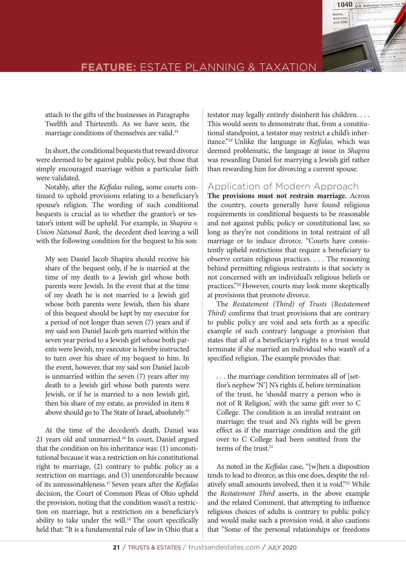

attach to the gifts of the businesses in Paragraphs Twelfth and Thirteenth. As we have seen, the marriage conditions of themselves are valid.<sup>14</sup>

In short, the conditional bequests that reward divorce were deemed to be against public policy, but those that simply encouraged marriage within a particular faith were validated.

Notably, after the *Keffalas* ruling, some courts continued to uphold provisions relating to a beneficiary's spouse's religion. The wording of such conditional bequests is crucial as to whether the grantor's or testator's intent will be upheld. For example, in *Shapira v. Union National Bank*, the decedent died leaving a will with the following condition for the bequest to his son:

My son Daniel Jacob Shapira should receive his share of the bequest only, if he is married at the time of my death to a Jewish girl whose both parents were Jewish. In the event that at the time of my death he is not married to a Jewish girl whose both parents were Jewish, then his share of this bequest should be kept by my executor for a period of not longer than seven (7) years and if my said son Daniel Jacob gets married within the seven year period to a Jewish girl whose both parents were Jewish, my executor is hereby instructed to turn over his share of my bequest to him. In the event, however, that my said son Daniel Jacob is unmarried within the seven (7) years after my death to a Jewish girl whose both parents were Jewish, or if he is married to a non Jewish girl, then his share of my estate, as provided in item 8 above should go to The State of Israel, absolutely.15

At the time of the decedent's death, Daniel was 21 years old and unmarried.<sup>16</sup> In court, Daniel argued that the condition on his inheritance was: (1) unconstitutional because it was a restriction on his constitutional right to marriage, (2) contrary to public policy as a restriction on marriage, and (3) unenforceable because of its unreasonableness.17 Seven years after the *Keffalas*  decision, the Court of Common Pleas of Ohio upheld the provision, noting that the condition wasn't a restriction on marriage, but a restriction on a beneficiary's ability to take under the will.<sup>18</sup> The court specifically held that: "It is a fundamental rule of law in Ohio that a

testator may legally entirely disinherit his children. . . . This would seem to demonstrate that, from a constitutional standpoint, a testator may restrict a child's inheritance."19 Unlike the language in *Keffalas,* which was deemed problematic, the language at issue in *Shapira*  was rewarding Daniel for marrying a Jewish girl rather than rewarding him for divorcing a current spouse.

### Application of Modern Approach

**The provisions must not restrain marriage.** Across the country, courts generally have found religious requirements in conditional bequests to be reasonable and not against public policy or constitutional law, so long as they're not conditions in total restraint of all marriage or to induce divorce. "Courts have consistently upheld restrictions that require a beneficiary to observe certain religious practices. . . . The reasoning behind permitting religious restraints is that society is not concerned with an individual's religious beliefs or practices."20 However, courts may look more skeptically at provisions that promote divorce.

The *Restatement (Third) of Trusts (Restatement Third)* confirms that trust provisions that are contrary to public policy are void and sets forth as a specific example of such contrary language a provision that states that all of a beneficiary's rights to a trust would terminate if she married an individual who wasn't of a specified religion. The example provides that:

. . . the marriage condition terminates all of [settlor's nephew 'N'] N's rights if, before termination of the trust, he 'should marry a person who is not of R Religion,' with the same gift over to C College. The condition is an invalid restraint on marriage; the trust and N's rights will be given effect as if the marriage condition and the gift over to C College had been omitted from the terms of the trust.<sup>21</sup>

As noted in the *Keffalas* case, "[w]hen a disposition tends to lead to divorce, as this one does, despite the relatively small amounts involved, then it is void."22 While the *Restatement Third* asserts, in the above example and the related Comment, that attempting to influence religious choices of adults is contrary to public policy and would make such a provision void, it also cautions that "Some of the personal relationships or freedoms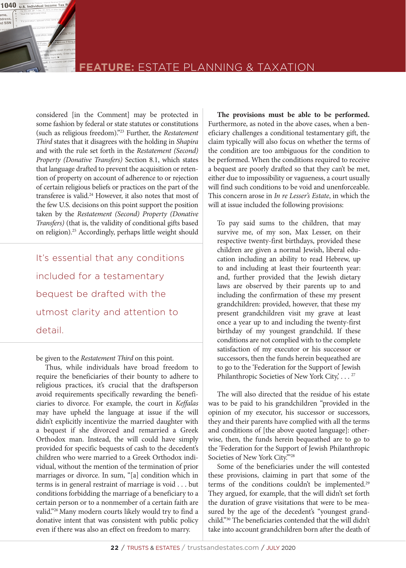

considered [in the Comment] may be protected in some fashion by federal or state statutes or constitutions (such as religious freedom)."23 Further, the *Restatement Third* states that it disagrees with the holding in *Shapira* and with the rule set forth in the *Restatement (Second) Property (Donative Transfers)* Section 8.1, which states that language drafted to prevent the acquisition or retention of property on account of adherence to or rejection of certain religious beliefs or practices on the part of the transferee is valid.24 However, it also notes that most of the few U.S. decisions on this point support the position taken by the *Restatement (Second) Property (Donative Transfers)* (that is, the validity of conditional gifts based on religion).<sup>25</sup> Accordingly, perhaps little weight should

It's essential that any conditions included for a testamentary bequest be drafted with the utmost clarity and attention to detail.

be given to the *Restatement Third* on this point.

Thus, while individuals have broad freedom to require the beneficiaries of their bounty to adhere to religious practices, it's crucial that the draftsperson avoid requirements specifically rewarding the beneficiaries to divorce. For example, the court in *Keffalas* may have upheld the language at issue if the will didn't explicitly incentivize the married daughter with a bequest if she divorced and remarried a Greek Orthodox man. Instead, the will could have simply provided for specific bequests of cash to the decedent's children who were married to a Greek Orthodox individual, without the mention of the termination of prior marriages or divorce. In sum, "[a] condition which in terms is in general restraint of marriage is void . . . but conditions forbidding the marriage of a beneficiary to a certain person or to a nonmember of a certain faith are valid."26 Many modern courts likely would try to find a donative intent that was consistent with public policy even if there was also an effect on freedom to marry.

**The provisions must be able to be performed.** Furthermore, as noted in the above cases, when a beneficiary challenges a conditional testamentary gift, the claim typically will also focus on whether the terms of the condition are too ambiguous for the condition to be performed. When the conditions required to receive a bequest are poorly drafted so that they can't be met, either due to impossibility or vagueness, a court usually will find such conditions to be void and unenforceable. This concern arose in *In re Lesser's Estate*, in which the will at issue included the following provisions:

To pay said sums to the children, that may survive me, of my son, Max Lesser, on their respective twenty-first birthdays, provided these children are given a normal Jewish, liberal education including an ability to read Hebrew, up to and including at least their fourteenth year: and, further provided that the Jewish dietary laws are observed by their parents up to and including the confirmation of these my present grandchildren: provided, however, that these my present grandchildren visit my grave at least once a year up to and including the twenty-first birthday of my youngest grandchild. If these conditions are not complied with to the complete satisfaction of my executor or his successor or successors, then the funds herein bequeathed are to go to the 'Federation for the Support of Jewish Philanthropic Societies of New York City, . . . <sup>27</sup>

The will also directed that the residue of his estate was to be paid to his grandchildren "provided in the opinion of my executor, his successor or successors, they and their parents have complied with all the terms and conditions of [the above quoted language]: otherwise, then, the funds herein bequeathed are to go to the 'Federation for the Support of Jewish Philanthropic Societies of New York City.'"28

Some of the beneficiaries under the will contested these provisions, claiming in part that some of the terms of the conditions couldn't be implemented.<sup>29</sup> They argued, for example, that the will didn't set forth the duration of grave visitations that were to be measured by the age of the decedent's "youngest grandchild."30 The beneficiaries contended that the will didn't take into account grandchildren born after the death of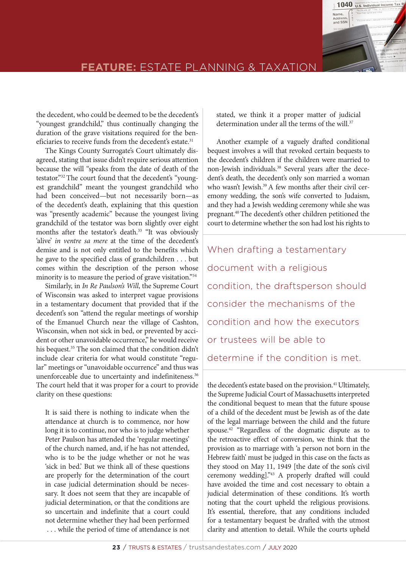

the decedent, who could be deemed to be the decedent's "youngest grandchild," thus continually changing the duration of the grave visitations required for the beneficiaries to receive funds from the decedent's estate.<sup>31</sup>

The Kings County Surrogate's Court ultimately disagreed, stating that issue didn't require serious attention because the will "speaks from the date of death of the testator."32 The court found that the decedent's "youngest grandchild" meant the youngest grandchild who had been conceived—but not necessarily born—as of the decedent's death, explaining that this question was "presently academic" because the youngest living grandchild of the testator was born slightly over eight months after the testator's death.<sup>33</sup> "It was obviously 'alive' *in ventre sa mere* at the time of the decedent's demise and is not only entitled to the benefits which he gave to the specified class of grandchildren . . . but comes within the description of the person whose minority is to measure the period of grave visitation."34

Similarly, in *In Re Paulson's Will*, the Supreme Court of Wisconsin was asked to interpret vague provisions in a testamentary document that provided that if the decedent's son "attend the regular meetings of worship of the Emanuel Church near the village of Cashton, Wisconsin, when not sick in bed, or prevented by accident or other unavoidable occurrence," he would receive his bequest.<sup>35</sup> The son claimed that the condition didn't include clear criteria for what would constitute "regular" meetings or "unavoidable occurrence" and thus was unenforceable due to uncertainty and indefiniteness.<sup>36</sup> The court held that it was proper for a court to provide clarity on these questions:

It is said there is nothing to indicate when the attendance at church is to commence, nor how long it is to continue, nor who is to judge whether Peter Paulson has attended the 'regular meetings' of the church named, and, if he has not attended, who is to be the judge whether or not he was 'sick in bed.' But we think all of these questions are properly for the determination of the court in case judicial determination should be necessary. It does not seem that they are incapable of judicial determination, or that the conditions are so uncertain and indefinite that a court could not determine whether they had been performed . . . while the period of time of attendance is not

stated, we think it a proper matter of judicial determination under all the terms of the will.<sup>37</sup>

Another example of a vaguely drafted conditional bequest involves a will that revoked certain bequests to the decedent's children if the children were married to non-Jewish individuals.38 Several years after the decedent's death, the decedent's only son married a woman who wasn't Jewish.<sup>39</sup> A few months after their civil ceremony wedding, the son's wife converted to Judaism, and they had a Jewish wedding ceremony while she was pregnant.40 The decedent's other children petitioned the court to determine whether the son had lost his rights to

When drafting a testamentary document with a religious condition, the draftsperson should consider the mechanisms of the condition and how the executors or trustees will be able to determine if the condition is met.

the decedent's estate based on the provision.<sup>41</sup> Ultimately, the Supreme Judicial Court of Massachusetts interpreted the conditional bequest to mean that the future spouse of a child of the decedent must be Jewish as of the date of the legal marriage between the child and the future spouse.42 "Regardless of the dogmatic dispute as to the retroactive effect of conversion, we think that the provision as to marriage with 'a person not born in the Hebrew faith' must be judged in this case on the facts as they stood on May 11, 1949 [the date of the son's civil ceremony wedding]."43 A properly drafted will could have avoided the time and cost necessary to obtain a judicial determination of these conditions. It's worth noting that the court upheld the religious provisions. It's essential, therefore, that any conditions included for a testamentary bequest be drafted with the utmost clarity and attention to detail. While the courts upheld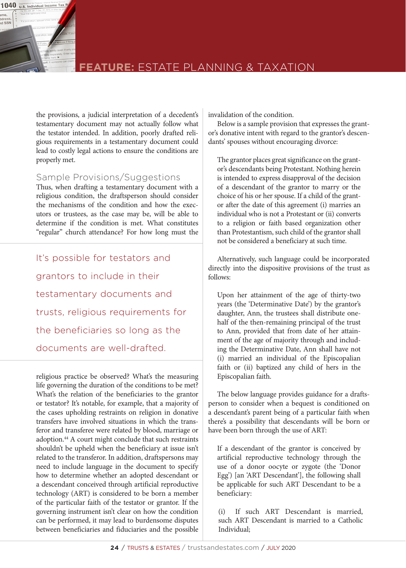

### **FEATURE:** ESTATE PLANNING & TAXATION

the provisions, a judicial interpretation of a decedent's testamentary document may not actually follow what the testator intended. In addition, poorly drafted religious requirements in a testamentary document could lead to costly legal actions to ensure the conditions are properly met.

### Sample Provisions/Suggestions

Thus, when drafting a testamentary document with a religious condition, the draftsperson should consider the mechanisms of the condition and how the executors or trustees, as the case may be, will be able to determine if the condition is met. What constitutes "regular" church attendance? For how long must the

It's possible for testators and grantors to include in their testamentary documents and trusts, religious requirements for the beneficiaries so long as the documents are well-drafted.

religious practice be observed? What's the measuring life governing the duration of the conditions to be met? What's the relation of the beneficiaries to the grantor or testator? It's notable, for example, that a majority of the cases upholding restraints on religion in donative transfers have involved situations in which the transferor and transferee were related by blood, marriage or adoption.<sup>44</sup> A court might conclude that such restraints shouldn't be upheld when the beneficiary at issue isn't related to the transferor. In addition, draftspersons may need to include language in the document to specify how to determine whether an adopted descendant or a descendant conceived through artificial reproductive technology (ART) is considered to be born a member of the particular faith of the testator or grantor. If the governing instrument isn't clear on how the condition can be performed, it may lead to burdensome disputes between beneficiaries and fiduciaries and the possible

invalidation of the condition.

Below is a sample provision that expresses the grantor's donative intent with regard to the grantor's descendants' spouses without encouraging divorce:

The grantor places great significance on the grantor's descendants being Protestant. Nothing herein is intended to express disapproval of the decision of a descendant of the grantor to marry or the choice of his or her spouse. If a child of the grantor after the date of this agreement (i) marries an individual who is not a Protestant or (ii) converts to a religion or faith based organization other than Protestantism, such child of the grantor shall not be considered a beneficiary at such time.

Alternatively, such language could be incorporated directly into the dispositive provisions of the trust as follows:

Upon her attainment of the age of thirty-two years (the 'Determinative Date') by the grantor's daughter, Ann, the trustees shall distribute onehalf of the then-remaining principal of the trust to Ann, provided that from date of her attainment of the age of majority through and including the Determinative Date, Ann shall have not (i) married an individual of the Episcopalian faith or (ii) baptized any child of hers in the Episcopalian faith.

The below language provides guidance for a draftsperson to consider when a bequest is conditioned on a descendant's parent being of a particular faith when there's a possibility that descendants will be born or have been born through the use of ART:

If a descendant of the grantor is conceived by artificial reproductive technology through the use of a donor oocyte or zygote (the 'Donor Egg') [an 'ART Descendant'], the following shall be applicable for such ART Descendant to be a beneficiary:

(i) If such ART Descendant is married, such ART Descendant is married to a Catholic Individual;